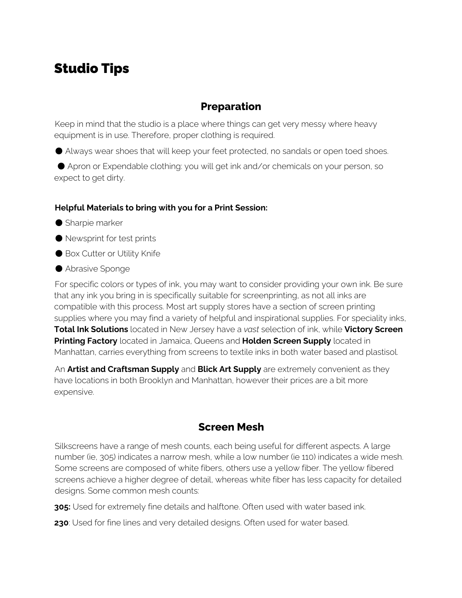# Studio Tips

### **Preparation**

Keep in mind that the studio is a place where things can get very messy where heavy equipment is in use. Therefore, proper clothing is required.

● Always wear shoes that will keep your feet protected, no sandals or open toed shoes.

● Apron or Expendable clothing: you will get ink and/or chemicals on your person, so expect to get dirty.

#### **Helpful Materials to bring with you for a Print Session:**

- Sharpie marker
- Newsprint for test prints
- Box Cutter or Utility Knife
- Abrasive Sponge

For specific colors or types of ink, you may want to consider providing your own ink. Be sure that any ink you bring in is specifically suitable for screenprinting, as not all inks are compatible with this process. Most art supply stores have a section of screen printing supplies where you may find a variety of helpful and inspirational supplies. For speciality inks, **Total Ink Solutions** located in New Jersey have a *vast* selection of ink, while **Victory Screen Printing Factory** located in Jamaica, Queens and **Holden Screen Supply** located in Manhattan, carries everything from screens to textile inks in both water based and plastisol.

An **Artist and Craftsman Supply** and **Blick Art Supply** are extremely convenient as they have locations in both Brooklyn and Manhattan, however their prices are a bit more expensive.

#### **Screen Mesh**

Silkscreens have a range of mesh counts, each being useful for different aspects. A large number (ie, 305) indicates a narrow mesh, while a low number (ie 110) indicates a wide mesh. Some screens are composed of white fibers, others use a yellow fiber. The yellow fibered screens achieve a higher degree of detail, whereas white fiber has less capacity for detailed designs. Some common mesh counts:

**305:** Used for extremely fine details and halftone. Often used with water based ink.

**230**: Used for fine lines and very detailed designs. Often used for water based.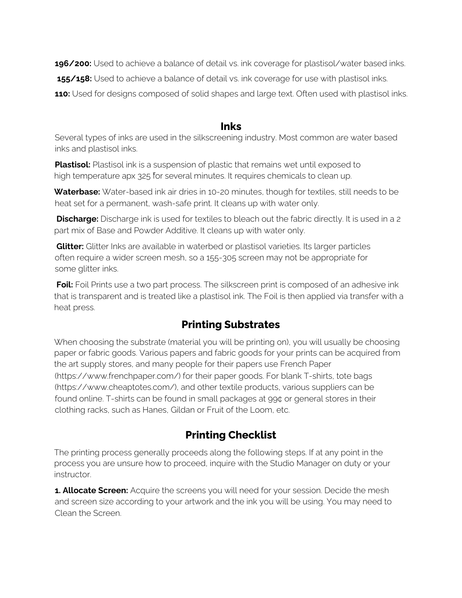**196/200:** Used to achieve a balance of detail vs. ink coverage for plastisol/water based inks. 155/158: Used to achieve a balance of detail vs. ink coverage for use with plastisol inks. **110:** Used for designs composed of solid shapes and large text. Often used with plastisol inks.

#### **Inks**

Several types of inks are used in the silkscreening industry. Most common are water based inks and plastisol inks.

**Plastisol:** Plastisol ink is a suspension of plastic that remains wet until exposed to high temperature apx 325 ̊for several minutes. It requires chemicals to clean up.

**Waterbase:** Water-based ink air dries in 10-20 minutes, though for textiles, still needs to be heat set for a permanent, wash-safe print. It cleans up with water only.

**Discharge:** Discharge ink is used for textiles to bleach out the fabric directly. It is used in a 2 part mix of Base and Powder Additive. It cleans up with water only.

**Glitter:** Glitter Inks are available in waterbed or plastisol varieties. Its larger particles often require a wider screen mesh, so a 155-305 screen may not be appropriate for some glitter inks.

**Foil:** Foil Prints use a two part process. The silkscreen print is composed of an adhesive ink that is transparent and is treated like a plastisol ink. The Foil is then applied via transfer with a heat press.

## **Printing Substrates**

When choosing the substrate (material you will be printing on), you will usually be choosing paper or fabric goods. Various papers and fabric goods for your prints can be acquired from the art supply stores, and many people for their papers use French Paper (https://www.frenchpaper.com/) for their paper goods. For blank T-shirts, tote bags (https://www.cheaptotes.com/), and other textile products, various suppliers can be found online. T-shirts can be found in small packages at 99¢ or general stores in their clothing racks, such as Hanes, Gildan or Fruit of the Loom, etc.

## **Printing Checklist**

The printing process generally proceeds along the following steps. If at any point in the process you are unsure how to proceed, inquire with the Studio Manager on duty or your instructor.

**1. Allocate Screen:** Acquire the screens you will need for your session. Decide the mesh and screen size according to your artwork and the ink you will be using. You may need to Clean the Screen.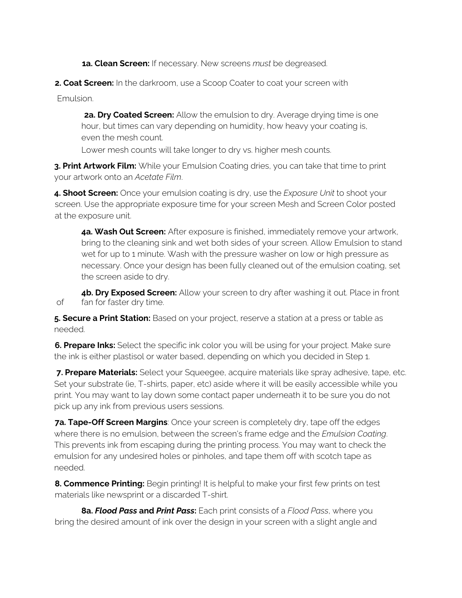**1a. Clean Screen:** If necessary. New screens *must* be degreased.

**2. Coat Screen:** In the darkroom, use a Scoop Coater to coat your screen with

Emulsion.

**2a. Dry Coated Screen:** Allow the emulsion to dry. Average drying time is one hour, but times can vary depending on humidity, how heavy your coating is, even the mesh count.

Lower mesh counts will take longer to dry vs. higher mesh counts.

**3. Print Artwork Film:** While your Emulsion Coating dries, you can take that time to print your artwork onto an *Acetate Film*.

**4. Shoot Screen:** Once your emulsion coating is dry, use the *Exposure Unit* to shoot your screen. Use the appropriate exposure time for your screen Mesh and Screen Color posted at the exposure unit.

**4a. Wash Out Screen:** After exposure is finished, immediately remove your artwork, bring to the cleaning sink and wet both sides of your screen. Allow Emulsion to stand wet for up to 1 minute. Wash with the pressure washer on low or high pressure as necessary. Once your design has been fully cleaned out of the emulsion coating, set the screen aside to dry.

**4b. Dry Exposed Screen:** Allow your screen to dry after washing it out. Place in front of fan for faster dry time.

**5. Secure a Print Station:** Based on your project, reserve a station at a press or table as needed.

**6. Prepare Inks:** Select the specific ink color you will be using for your project. Make sure the ink is either plastisol or water based, depending on which you decided in Step 1.

**7. Prepare Materials:** Select your Squeegee, acquire materials like spray adhesive, tape, etc. Set your substrate (ie, T-shirts, paper, etc) aside where it will be easily accessible while you print. You may want to lay down some contact paper underneath it to be sure you do not pick up any ink from previous users sessions.

**7a. Tape-Off Screen Margins**: Once your screen is completely dry, tape off the edges where there is no emulsion, between the screen's frame edge and the *Emulsion Coating*. This prevents ink from escaping during the printing process. You may want to check the emulsion for any undesired holes or pinholes, and tape them off with scotch tape as needed.

**8. Commence Printing:** Begin printing! It is helpful to make your first few prints on test materials like newsprint or a discarded T-shirt.

**8a.** *Flood Pass* **and** *Print Pass***:** Each print consists of a *Flood Pass*, where you bring the desired amount of ink over the design in your screen with a slight angle and